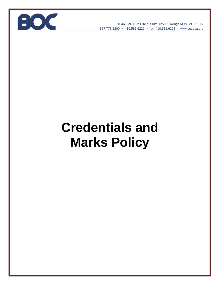

10461 Mill Run Circle, Suite 1250 • Owings Mills, MD 21117 877.776.2200 • 410.581.6222 • *fax* 410.581.6228 • www*.*bocusa.org

# **Credentials and Marks Policy**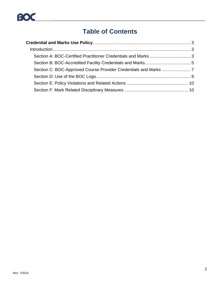

## **Table of Contents**

<span id="page-1-0"></span>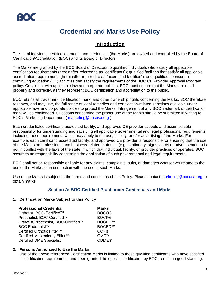## **Credential and Marks Use Policy**

### **Introduction**

<span id="page-2-0"></span>The list of individual certification marks and credentials (the Marks) are owned and controlled by the Board of Certification/Accreditation (BOC) and its Board of Directors.

The Marks are granted by the BOC Board of Directors to qualified individuals who satisfy all applicable certification requirements (hereinafter referred to as "certificants"); qualified facilities that satisfy all applicable accreditation requirements (hereinafter referred to as "accredited facilities"); and qualified sponsors of continuing education (CE) activities that satisfy the requirements of the BOC CE Provider Approval Program policy. Consistent with applicable law and corporate policies, BOC must ensure that the Marks are used properly and correctly, as they represent BOC certification and accreditation to the public.

BOC retains all trademark, certification mark, and other ownership rights concerning the Marks. BOC therefore reserves, and may use, the full range of legal remedies and certification-related sanctions available under applicable laws and corporate policies to protect the Marks. Infringement of any BOC trademark or certification mark will be challenged. Questions concerning the proper use of the Marks should be submitted in writing to BOC's Marketing Department ( [marketing@bocusa.org](mailto:marketing@bocusa.org) ).

Each credentialed certificant, accredited facility, and approved CE provider accepts and assumes sole responsibility for understanding and satisfying all applicable governmental and legal professional requirements, including those requirements which may apply to the use, display, and/or advertising of the Marks. For example, each certificant, accredited facility, and approved CE provider is responsible for ensuring that the use of the Marks on professional and business-related materials (e.g., stationery, signs, cards or advertisements) is not in conflict with the laws of the state in which that individual, facility, or provider practices or operates. BOC assumes no responsibility concerning the application of such governmental and legal requirements.

BOC shall not be responsible or liable for any claims, complaints, suits, or damages whatsoever related to the use of the Marks, or in connection with the use of such Marks.

<span id="page-2-1"></span>Use of the Marks is subject to the terms and conditions of this Policy. Please contact [marketing@bocusa.org](mailto:marketing@bocusa.org) to obtain marks.

#### **Section A: BOC-Certified Practitioner Credentials and Marks**

#### **1. Certification Marks Subject to this Policy**

| <b>Professional Credential</b>        | <b>Marks</b> |
|---------------------------------------|--------------|
| Orthotist, BOC-Certified™             | <b>BOCO®</b> |
| Prosthetist, BOC-Certified™           | <b>BOCP®</b> |
| Orthotist/Prosthetist, BOC-Certified™ | BOCPO™       |
| <b>BOC Pedorthist™</b>                | BOCPD™       |
| Certified Orthotic Fitter™            | <b>COF®</b>  |
| Certified Mastectomy Fitter™          | <b>CMF®</b>  |
| <b>Certified DME Specialist</b>       | <b>CDME®</b> |

#### **2. Persons Authorized to Use the Marks**

Use of the above referenced Certification Marks is limited to those qualified certificants who have satisfied all certification requirements and been granted the specific certification by BOC, remain in good standing,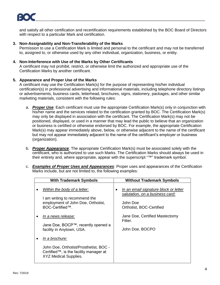and satisfy all other certification and recertification requirements established by the BOC Board of Directors with respect to a particular Mark and certification.

#### **3. Non-Assignability and Non-Transferability of the Marks**

Permission to use a Certification Mark is limited and personal to the certificant and may not be transferred to, assigned to, or otherwise used by any other individual, organization, business, or entity.

#### **4. Non-Interference with Use of the Marks by Other Certificants**

A certificant may not prohibit, restrict, or otherwise limit the authorized and appropriate use of the Certification Marks by another certificant.

#### **5. Appearance and Proper Use of the Marks**

A certificant may use the Certification Mark(s) for the purpose of representing his/her individual certification(s) in professional advertising and informational materials, including telephone directory listings or advertisements, business cards, letterhead, brochures, signs, stationery, packages, and other similar marketing materials, consistent with the following rules:

- a. *Proper Use*: Each certificant must use the appropriate Certification Mark(s) only in conjunction with his/her name and the services related to the certification granted by BOC. The Certification Mark(s) may only be displayed in association with the certificant. The Certification Mark(s) may not be positioned, displayed, or used in a manner that may lead the public to believe that an organization or business is certified or otherwise endorsed by BOC. For example, the appropriate Certification Mark(s) may appear immediately above, below, or otherwise adjacent to the name of the certificant but may not appear immediately adjacent to the name of the certificant's employer or business (organization).
- b. *Proper Appearance*: The appropriate Certification Mark(s) must be associated solely with the certificant, who is authorized to use such Marks. The Certification Marks should always be used in their entirety and, where appropriate, appear with the superscript "™" trademark symbol.
- c. *Examples of Proper Uses and Appearances*: Proper uses and appearances of the Certification Marks include, but are not limited to, the following examples:

| <b>With Trademark Symbols</b>                                                                                                      | <b>Without Trademark Symbols</b>                                                                                 |
|------------------------------------------------------------------------------------------------------------------------------------|------------------------------------------------------------------------------------------------------------------|
| Within the body of a letter:<br>I am writing to recommend the<br>employment of John Doe, Orthotist,<br>BOC-Certified™.             | In an email signature block or letter<br>salutation, on a business card:<br>John Doe<br>Orthotist, BOC-Certified |
| In a news release:<br>Jane Doe, BOCP™, recently opened a<br>facility in Anytown, USA.                                              | Jane Doe, Certified Mastectomy<br>Fitter.<br>John Doe, BOCPO                                                     |
| In a brochure:<br>John Doe, Orthotist/Prosthetist, BOC -<br>Certified™, is the facility manager at<br><b>XYZ Medical Supplies.</b> |                                                                                                                  |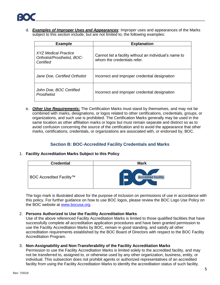

d. *Examples of Improper Uses and Appearances*: Improper uses and appearances of the Marks subject to this section include, but are not limited to, the following examples:

| <b>Example</b>                                                   | <b>Explanation</b>                                                                    |
|------------------------------------------------------------------|---------------------------------------------------------------------------------------|
| XYZ Medical Practice<br>Orthotist/Prosthetist, BOC-<br>Certified | Cannot list a facility without an individual's name to<br>whom the credentials refer. |
| Jane Doe, Certified Orthotist                                    | Incorrect and improper credential designation                                         |
| John Doe, BOC Certified<br>Prosthetist                           | Incorrect and improper credential designation                                         |

e. *Other Use Requirements:* The Certification Marks must stand by themselves, and may not be combined with marks, designations, or logos related to other certifications, credentials, groups, or organizations, and such use is prohibited. The Certification Marks generally may be used in the same location as other affiliation marks or logos but must remain separate and distinct so as to avoid confusion concerning the source of the certification and to avoid the appearance that other marks, certifications, credentials, or organizations are associated with, or endorsed by, BOC.

#### <span id="page-4-0"></span>**Section B: BOC-Accredited Facility Credentials and Marks**

#### 1. **Facility Accreditation Marks Subject to this Policy**



The logo mark is illustrated above for the purpose of inclusion on permissions of use in accordance with this policy. For further guidance on how to use BOC logos, please review the BOC Logo Use Policy on the BOC website at [www.bocusa.org.](http://www.bocusa.org/)

#### 2. **Persons Authorized to Use the Facility Accreditation Marks**

Use of the above referenced Facility Accreditation Marks is limited to those qualified facilities that have successfully complete all accreditation application procedures and have been granted permission to use the Facility Accreditation Marks by BOC, remain in good standing, and satisfy all other accreditation requirements established by the BOC Board of Directors with respect to the BOC Facility Accreditation Program.

#### 3. **Non-Assignability and Non-Transferability of the Facility Accreditation Marks**

Permission to use the Facility Accreditation Marks is limited solely to the accredited facility, and may not be transferred to, assigned to, or otherwise used by any other organization, business, entity, or individual. This subsection does not prohibit agents or authorized representatives of an accredited facility from using the Facility Accreditation Marks to identify the accreditation status of such facility.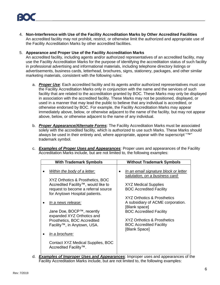4. **Non-Interference with Use of the Facility Accreditation Marks by Other Accredited Facilities**  An accredited facility may not prohibit, restrict, or otherwise limit the authorized and appropriate use of the Facility Accreditation Marks by other accredited facilities.

#### 5. **Appearance and Proper Use of the Facility Accreditation Marks**

An accredited facility, including agents and/or authorized representatives of an accredited facility, may use the Facility Accreditation Marks for the purpose of identifying the accreditation status of such facility in professional advertising and informational materials, including telephone directory listings or advertisements, business cards, letterhead, brochures, signs, stationery, packages, and other similar marketing materials, consistent with the following rules:

- a. *Proper Use*: Each accredited facility and its agents and/or authorized representatives must use the Facility Accreditation Marks only in conjunction with the name and the services of such facility that are related to the accreditation granted by BOC. These Marks may only be displayed in association with the accredited facility. These Marks may not be positioned, displayed, or used in a manner that may lead the public to believe that any individual is accredited, or otherwise endorsed by BOC. For example, the Facility Accreditation Marks may appear immediately above, below, or otherwise adjacent to the name of the facility, but may not appear above, below, or otherwise adjacent to the name of any individual.
- b. *Proper Appearance/Alternate Forms*: The Facility Accreditation Marks must be associated solely with the accredited facility, which is authorized to use such Marks. These Marks should always be used in their entirety and, where appropriate, appear with the superscript "™" trademark symbol.
- c. *Examples of Proper Uses and Appearances*: Proper uses and appearances of the Facility Accreditation Marks include, but are not limited to, the following examples:

| <b>With Trademark Symbols</b>                                                                                                                                                                                                                                                                                                                                                                                                             | <b>Without Trademark Symbols</b>                                                                                                                                                                                                                                                                                                                                   |
|-------------------------------------------------------------------------------------------------------------------------------------------------------------------------------------------------------------------------------------------------------------------------------------------------------------------------------------------------------------------------------------------------------------------------------------------|--------------------------------------------------------------------------------------------------------------------------------------------------------------------------------------------------------------------------------------------------------------------------------------------------------------------------------------------------------------------|
| Within the body of a letter:<br>XYZ Orthotics & Prosthetics, BOC<br>Accredited Facility <sup>™</sup> , would like to<br>request to become a referral source<br>for Anytown Hospital patients.<br>In a news release:<br>Jane Doe, BOCP™, recently<br>expanded XYZ Orthotics and<br>Prosthetics, BOC Accredited<br>Facility <sup>™</sup> , in Anytown, USA.<br>In a brochure:<br>Contact XYZ Medical Supplies, BOC<br>Accredited Facility™. | In an email signature block or letter<br>٠<br>salutation, on a business card:<br><b>XYZ Medical Supplies</b><br><b>BOC Accredited Facility</b><br><b>XYZ Orthotics &amp; Prosthetics</b><br>A subsidiary of ACME corporation.<br>[Blank space]<br><b>BOC Accredited Facility</b><br>XYZ Orthotics & Prosthetics<br><b>BOC Accredited Facility</b><br>[Blank Space] |

d. *Examples of Improper Uses and Appearances*: Improper uses and appearances of the Facility Accreditation Marks include, but are not limited to, the following examples: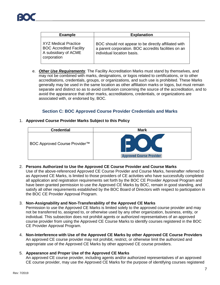| <b>Example</b>                                                                                       | <b>Explanation</b>                                                                                                                         |
|------------------------------------------------------------------------------------------------------|--------------------------------------------------------------------------------------------------------------------------------------------|
| <b>XYZ Medical Practice</b><br><b>BOC Accredited Facility</b><br>A subsidiary of ACME<br>corporation | BOC should not appear to be directly affiliated with<br>a parent corporation. BOC accredits facilities on an<br>individual location basis. |

e. *Other Use Requirements*: The Facility Accreditation Marks must stand by themselves, and may not be combined with marks, designations, or logos related to certifications, or to other accreditations, credentials, groups, or organizations, and such use is prohibited. These Marks generally may be used in the same location as other affiliation marks or logos, but must remain separate and distinct so as to avoid confusion concerning the source of the accreditation, and to avoid the appearance that other marks, accreditations, credentials, or organizations are associated with, or endorsed by, BOC.

#### **Section C: BOC Approved Course Provider Credentials and Marks**

#### <span id="page-6-0"></span>1. **Approved Course Provider Marks Subject to this Policy**



#### 2. **Persons Authorized to Use the Approved CE Course Provider and Course Marks**

Use of the above-referenced Approved CE Course Provider and Course Marks, hereinafter referred to as Approved CE Marks, is limited to those providers of CE activities who have successfully completed all application and registration requirements set forth by the BOC CE Provider Approval Program and have been granted permission to use the Approved CE Marks by BOC, remain in good standing, and satisfy all other requirements established by the BOC Board of Directors with respect to participation in the BOC CE Provider Approval Program.

#### 3. **Non-Assignability and Non-Transferability of the Approved CE Marks**

Permission to use the Approved CE Marks is limited solely to the approved course provider and may not be transferred to, assigned to, or otherwise used by any other organization, business, entity, or individual. This subsection does not prohibit agents or authorized representatives of an approved course provider from using the Approved CE Course Marks to identify courses registered in the BOC CE Provider Approval Program.

4. **Non-Interference with Use of the Approved CE Marks by other Approved CE Course Providers**  An approved CE course provider may not prohibit, restrict, or otherwise limit the authorized and appropriate use of the Approved CE Marks by other approved CE course providers.

#### 5. **Appearance and Proper Use of the Approved CE Marks**

An approved CE course provider, including agents and/or authorized representatives of an approved CE course provider, may use the Approved CE Marks for the purpose of identifying courses registered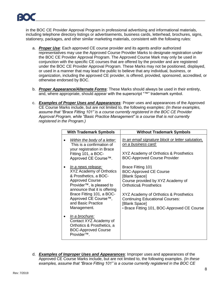

in the BOC CE Provider Approval Program in professional advertising and informational materials, including telephone directory listings or advertisements, business cards, letterhead, brochures, signs, stationery, packages, and other similar marketing materials, consistent with the following rules:

- a. *Proper Use*: Each approved CE course provider and its agents and/or authorized representatives may use the Approved Course Provider Marks to designate registration under the BOC CE Provider Approval Program. The Approved Course Mark may only be used in conjunction with the specific CE courses that are offered by the provider and are registered under the BOC CE Provider Approval Program. These Marks may not be positioned, displayed, or used in a manner that may lead the public to believe that any individual, business, or organization, including the approved CE provider, is offered, provided, sponsored, accredited, or otherwise endorsed by BOC.
- b. *Proper Appearance/Alternate Forms*: These Marks should always be used in their entirety, and, where appropriate, should appear with the superscript "™" trademark symbol.
- c. *Examples of Proper Uses and Appearances*: Proper uses and appearances of the Approved CE Course Marks include, but are not limited to, the following examples: *(In these examples, assume that "Brace Fitting 101" is a course currently registered in the BOC CE Provider Approval Program, while "Basic Practice Management" is a course that is not currently registered in the Program.)*

| <b>With Trademark Symbols</b>                                                                                                                                                                                                                                        | <b>Without Trademark Symbols</b>                                                                                                                                                                                                                                                                         |
|----------------------------------------------------------------------------------------------------------------------------------------------------------------------------------------------------------------------------------------------------------------------|----------------------------------------------------------------------------------------------------------------------------------------------------------------------------------------------------------------------------------------------------------------------------------------------------------|
| Within the body of a letter:<br>This is a confirmation of<br>your registration in Brace<br>Fitting 101, a BOC-<br>Approved CE Course™.                                                                                                                               | In an email signature block or letter salutation,<br>on a business card:<br>XYZ Academy of Orthotics & Prosthetics<br><b>BOC-Approved Course Provider</b>                                                                                                                                                |
| In a news release:<br>XYZ Academy of Orthotics<br>& Prosthetics, a BOC-<br><b>Approved Course</b><br>Provider <sup>™</sup> , is pleased to<br>announce that it is offering<br>Brace Fitting 101, a BOC-<br>Approved CE Course™,<br>and Basic Practice<br>Management. | <b>Brace Fitting 101</b><br><b>BOC-Approved CE Course</b><br>[Blank Space]<br>Course provided by XYZ Academy of<br><b>Orthotics&amp; Prosthetics</b><br>XYZ Academy of Orthotics & Prosthetics<br><b>Continuing Educational Courses:</b><br>[Blank Space]<br>• Brace Fitting 101, BOC-Approved CE Course |
| In a brochure:<br>Contact XYZ Academy of<br>Orthotics & Prosthetics, a<br><b>BOC-Approved Course</b><br>Provider <sup>™</sup> .                                                                                                                                      |                                                                                                                                                                                                                                                                                                          |

d. *Examples of Improper Uses and Appearances*: Improper uses and appearances of the Approved CE Course Marks include, but are not limited to, the following examples. *(In these examples, assume that "Brace Fitting 101" is a course currently registered in the BOC CE*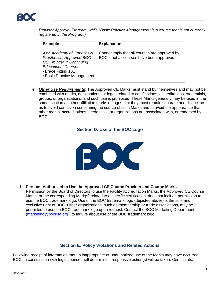

*Provider Approval Program, while "Basic Practice Management" is a course that is not currently registered in the Program.)* 

| <b>Example</b>                                                                                                                                                                      | <b>Explanation</b>                                                                          |
|-------------------------------------------------------------------------------------------------------------------------------------------------------------------------------------|---------------------------------------------------------------------------------------------|
| XYZ Academy of Orthotics &<br>Prosthetics, Approved BOC<br>CE Provider <sup>™</sup> Continuing<br><b>Educational Courses:</b><br>• Brace Fitting 101<br>• Basic Practice Management | Cannot imply that all courses are approved by<br>BOC if not all courses have been approved. |

<span id="page-8-0"></span>e. *Other Use Requirements*: The Approved CE Marks must stand by themselves and may not be combined with marks, designations, or logos related to certifications, accreditations, credentials, groups, or organizations, and such use is prohibited. These Marks generally may be used in the same location as other affiliation marks or logos, but they must remain separate and distinct so as to avoid confusion concerning the source of such Marks and to avoid the appearance that other marks, accreditations, credentials, or organizations are associated with, or endorsed by, BOC.

#### **Section D: Use of the BOC Logo**



#### 1. **Persons Authorized to Use the Approved CE Course Provider and Course Marks**

Permission by the Board of Directors to use the Facility Accreditation Marks, the Approved CE Course Marks, or the corresponding Mark(s) related to a specific certification, does not include permission to use the BOC trademark logo. Use of the BOC trademark logo (depicted above) is the sole and exclusive right of BOC. Other organizations, such as membership or trade associations, may be permitted to use the BOC trademark logo upon request. Contact the BOC Marketing Department [\(marketing@bocusa.org](mailto:marketing@bocusa.org) ) to inquire about use of the BOC trademark logo.

#### **Section E: Policy Violations and Related Actions**

<span id="page-8-1"></span>Following receipt of information that an inappropriate or unauthorized use of the Marks may have occurred, BOC, in consultation with legal counsel, will determine if responsive action(s) will be taken. Certificants,